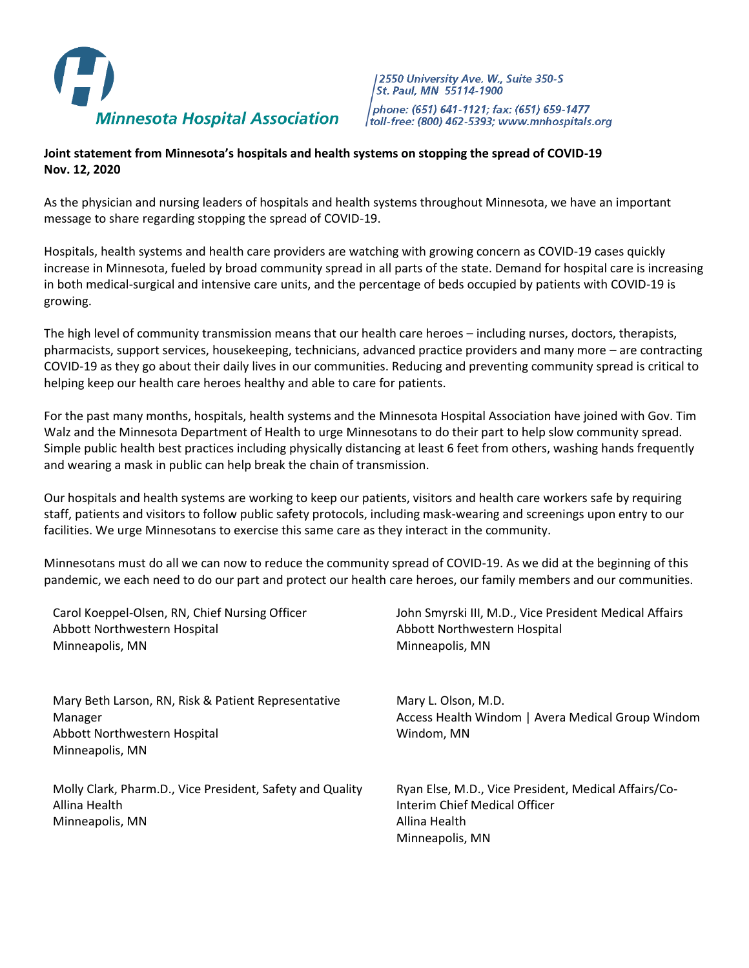

2550 University Ave. W., Suite 350-S St. Paul, MN 55114-1900 phone: (651) 641-1121; fax: (651) 659-1477 toll-free: (800) 462-5393; www.mnhospitals.org

## **Joint statement from Minnesota's hospitals and health systems on stopping the spread of COVID-19 Nov. 12, 2020**

As the physician and nursing leaders of hospitals and health systems throughout Minnesota, we have an important message to share regarding stopping the spread of COVID-19.

Hospitals, health systems and health care providers are watching with growing concern as COVID-19 cases quickly increase in Minnesota, fueled by broad community spread in all parts of the state. Demand for hospital care is increasing in both medical-surgical and intensive care units, and the percentage of beds occupied by patients with COVID-19 is growing.

The high level of community transmission means that our health care heroes – including nurses, doctors, therapists, pharmacists, support services, housekeeping, technicians, advanced practice providers and many more – are contracting COVID-19 as they go about their daily lives in our communities. Reducing and preventing community spread is critical to helping keep our health care heroes healthy and able to care for patients.

For the past many months, hospitals, health systems and the Minnesota Hospital Association have joined with Gov. Tim Walz and the Minnesota Department of Health to urge Minnesotans to do their part to help slow community spread. Simple public health best practices including physically distancing at least 6 feet from others, washing hands frequently and wearing a mask in public can help break the chain of transmission.

Our hospitals and health systems are working to keep our patients, visitors and health care workers safe by requiring staff, patients and visitors to follow public safety protocols, including mask-wearing and screenings upon entry to our facilities. We urge Minnesotans to exercise this same care as they interact in the community.

Minnesotans must do all we can now to reduce the community spread of COVID-19. As we did at the beginning of this pandemic, we each need to do our part and protect our health care heroes, our family members and our communities.

| Carol Koeppel-Olsen, RN, Chief Nursing Officer<br>Abbott Northwestern Hospital<br>Minneapolis, MN                 | John Smyrski III, M.D., Vice President Medical Affairs<br>Abbott Northwestern Hospital<br>Minneapolis, MN                 |
|-------------------------------------------------------------------------------------------------------------------|---------------------------------------------------------------------------------------------------------------------------|
| Mary Beth Larson, RN, Risk & Patient Representative<br>Manager<br>Abbott Northwestern Hospital<br>Minneapolis, MN | Mary L. Olson, M.D.<br>Access Health Windom   Avera Medical Group Windom<br>Windom, MN                                    |
| Molly Clark, Pharm.D., Vice President, Safety and Quality<br>Allina Health<br>Minneapolis, MN                     | Ryan Else, M.D., Vice President, Medical Affairs/Co-<br>Interim Chief Medical Officer<br>Allina Health<br>Minneapolis, MN |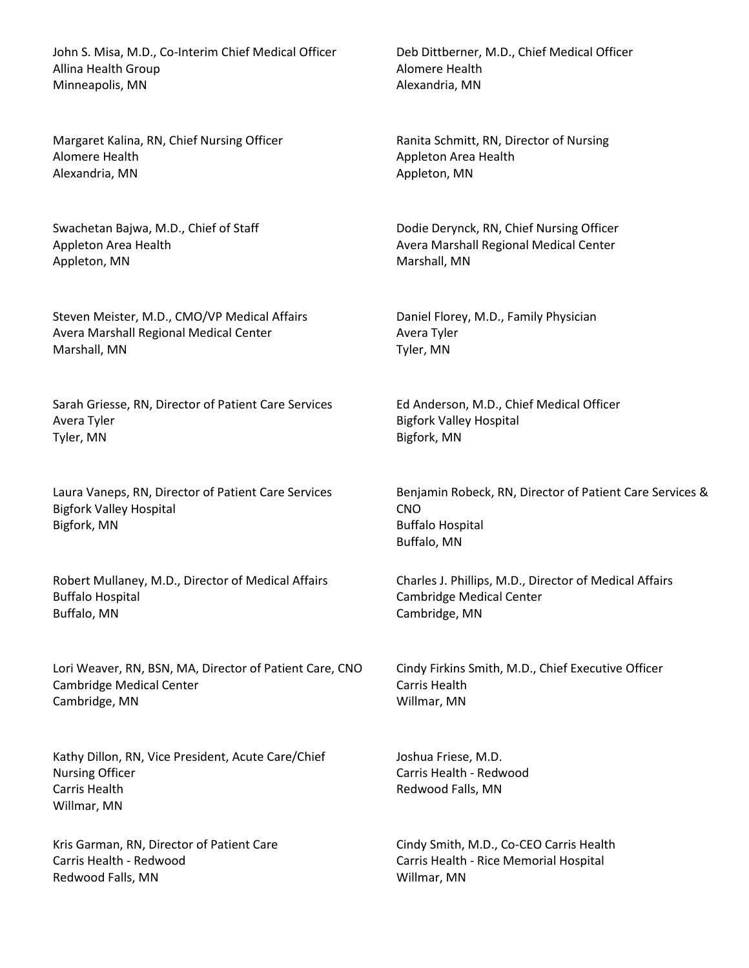John S. Misa, M.D., Co-Interim Chief Medical Officer Allina Health Group Minneapolis, MN

Margaret Kalina, RN, Chief Nursing Officer Alomere Health Alexandria, MN

Swachetan Bajwa, M.D., Chief of Staff Appleton Area Health Appleton, MN

Steven Meister, M.D., CMO/VP Medical Affairs Avera Marshall Regional Medical Center Marshall, MN

Sarah Griesse, RN, Director of Patient Care Services Avera Tyler Tyler, MN

Laura Vaneps, RN, Director of Patient Care Services Bigfork Valley Hospital Bigfork, MN

Robert Mullaney, M.D., Director of Medical Affairs Buffalo Hospital Buffalo, MN

Lori Weaver, RN, BSN, MA, Director of Patient Care, CNO Cambridge Medical Center Cambridge, MN

Kathy Dillon, RN, Vice President, Acute Care/Chief Nursing Officer Carris Health Willmar, MN

Kris Garman, RN, Director of Patient Care Carris Health - Redwood Redwood Falls, MN

Deb Dittberner, M.D., Chief Medical Officer Alomere Health Alexandria, MN

Ranita Schmitt, RN, Director of Nursing Appleton Area Health Appleton, MN

Dodie Derynck, RN, Chief Nursing Officer Avera Marshall Regional Medical Center Marshall, MN

Daniel Florey, M.D., Family Physician Avera Tyler Tyler, MN

Ed Anderson, M.D., Chief Medical Officer Bigfork Valley Hospital Bigfork, MN

Benjamin Robeck, RN, Director of Patient Care Services & CNO Buffalo Hospital Buffalo, MN

Charles J. Phillips, M.D., Director of Medical Affairs Cambridge Medical Center Cambridge, MN

Cindy Firkins Smith, M.D., Chief Executive Officer Carris Health Willmar, MN

Joshua Friese, M.D. Carris Health - Redwood Redwood Falls, MN

Cindy Smith, M.D., Co-CEO Carris Health Carris Health - Rice Memorial Hospital Willmar, MN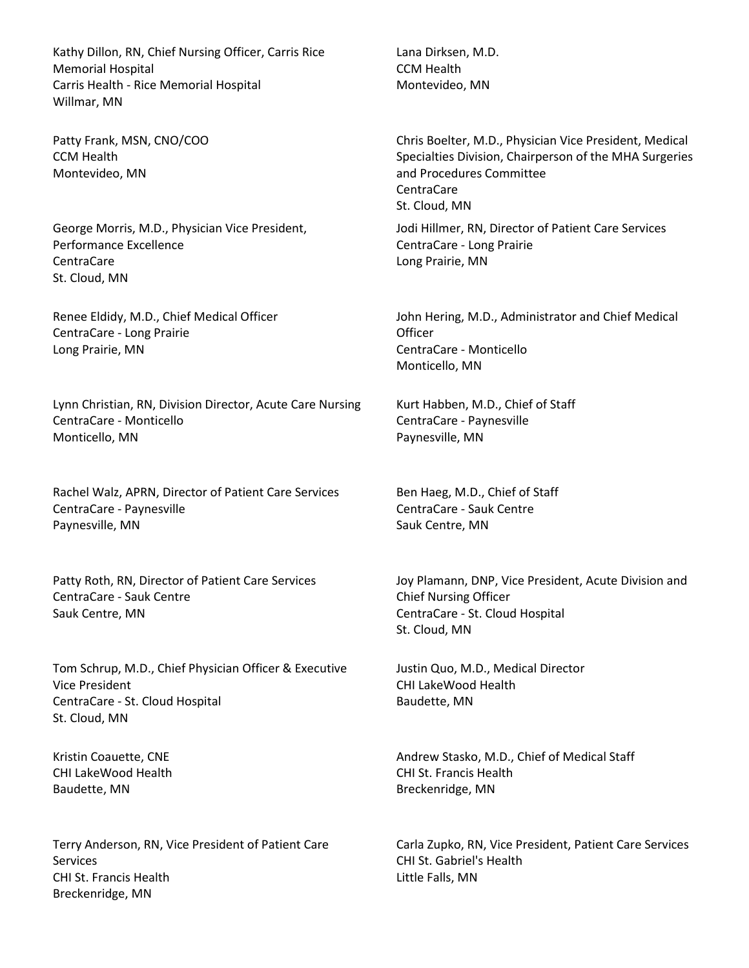Kathy Dillon, RN, Chief Nursing Officer, Carris Rice Memorial Hospital Carris Health - Rice Memorial Hospital Willmar, MN

Patty Frank, MSN, CNO/COO CCM Health Montevideo, MN

George Morris, M.D., Physician Vice President, Performance Excellence CentraCare St. Cloud, MN

Renee Eldidy, M.D., Chief Medical Officer CentraCare - Long Prairie Long Prairie, MN

Lynn Christian, RN, Division Director, Acute Care Nursing CentraCare - Monticello Monticello, MN

Rachel Walz, APRN, Director of Patient Care Services CentraCare - Paynesville Paynesville, MN

Patty Roth, RN, Director of Patient Care Services CentraCare - Sauk Centre Sauk Centre, MN

Tom Schrup, M.D., Chief Physician Officer & Executive Vice President CentraCare - St. Cloud Hospital St. Cloud, MN

Kristin Coauette, CNE CHI LakeWood Health Baudette, MN

Terry Anderson, RN, Vice President of Patient Care **Services** CHI St. Francis Health Breckenridge, MN

Lana Dirksen, M.D. CCM Health Montevideo, MN

Chris Boelter, M.D., Physician Vice President, Medical Specialties Division, Chairperson of the MHA Surgeries and Procedures Committee CentraCare St. Cloud, MN

Jodi Hillmer, RN, Director of Patient Care Services CentraCare - Long Prairie Long Prairie, MN

John Hering, M.D., Administrator and Chief Medical **Officer** CentraCare - Monticello Monticello, MN

Kurt Habben, M.D., Chief of Staff CentraCare - Paynesville Paynesville, MN

Ben Haeg, M.D., Chief of Staff CentraCare - Sauk Centre Sauk Centre, MN

Joy Plamann, DNP, Vice President, Acute Division and Chief Nursing Officer CentraCare - St. Cloud Hospital St. Cloud, MN

Justin Quo, M.D., Medical Director CHI LakeWood Health Baudette, MN

Andrew Stasko, M.D., Chief of Medical Staff CHI St. Francis Health Breckenridge, MN

Carla Zupko, RN, Vice President, Patient Care Services CHI St. Gabriel's Health Little Falls, MN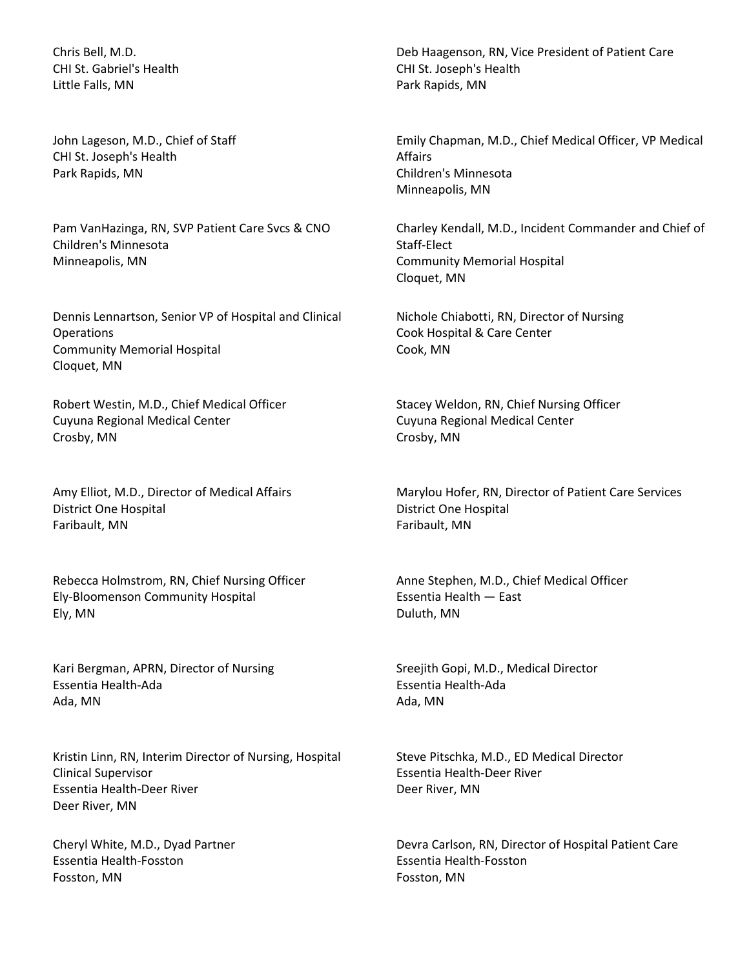Chris Bell, M.D. CHI St. Gabriel's Health Little Falls, MN

John Lageson, M.D., Chief of Staff CHI St. Joseph's Health Park Rapids, MN

Pam VanHazinga, RN, SVP Patient Care Svcs & CNO Children's Minnesota Minneapolis, MN

Dennis Lennartson, Senior VP of Hospital and Clinical **Operations** Community Memorial Hospital Cloquet, MN

Robert Westin, M.D., Chief Medical Officer Cuyuna Regional Medical Center Crosby, MN

Amy Elliot, M.D., Director of Medical Affairs District One Hospital Faribault, MN

Rebecca Holmstrom, RN, Chief Nursing Officer Ely-Bloomenson Community Hospital Ely, MN

Kari Bergman, APRN, Director of Nursing Essentia Health-Ada Ada, MN

Kristin Linn, RN, Interim Director of Nursing, Hospital Clinical Supervisor Essentia Health-Deer River Deer River, MN

Cheryl White, M.D., Dyad Partner Essentia Health-Fosston Fosston, MN

Deb Haagenson, RN, Vice President of Patient Care CHI St. Joseph's Health Park Rapids, MN

Emily Chapman, M.D., Chief Medical Officer, VP Medical Affairs Children's Minnesota Minneapolis, MN

Charley Kendall, M.D., Incident Commander and Chief of Staff-Elect Community Memorial Hospital Cloquet, MN

Nichole Chiabotti, RN, Director of Nursing Cook Hospital & Care Center Cook, MN

Stacey Weldon, RN, Chief Nursing Officer Cuyuna Regional Medical Center Crosby, MN

Marylou Hofer, RN, Director of Patient Care Services District One Hospital Faribault, MN

Anne Stephen, M.D., Chief Medical Officer Essentia Health — East Duluth, MN

Sreejith Gopi, M.D., Medical Director Essentia Health-Ada Ada, MN

Steve Pitschka, M.D., ED Medical Director Essentia Health-Deer River Deer River, MN

Devra Carlson, RN, Director of Hospital Patient Care Essentia Health-Fosston Fosston, MN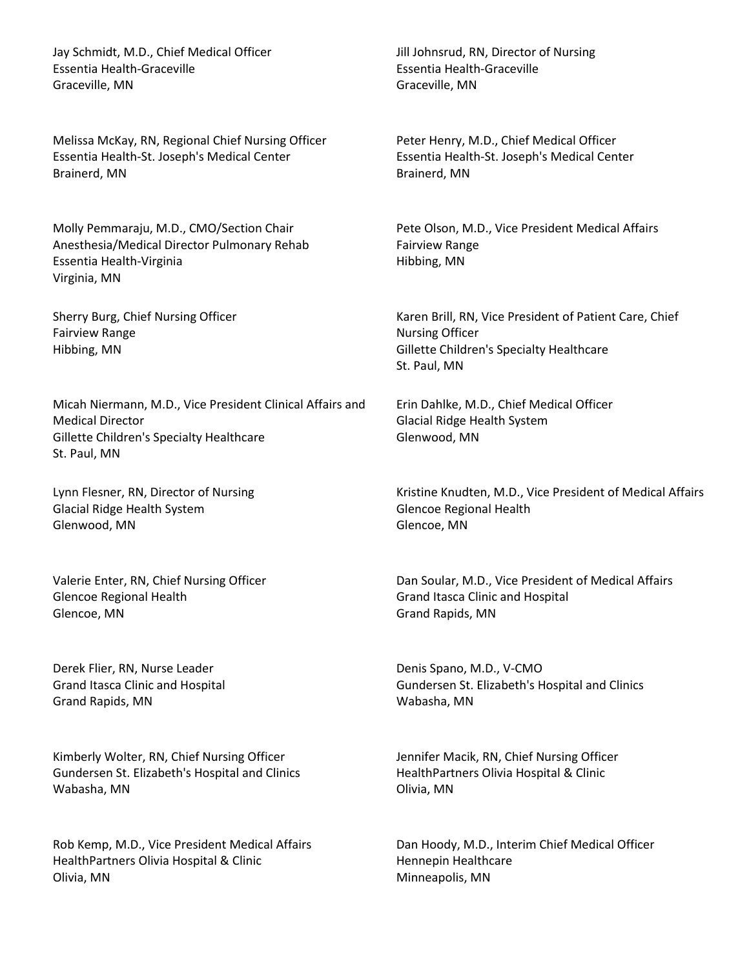Jay Schmidt, M.D., Chief Medical Officer Essentia Health-Graceville Graceville, MN

Melissa McKay, RN, Regional Chief Nursing Officer Essentia Health-St. Joseph's Medical Center Brainerd, MN

Molly Pemmaraju, M.D., CMO/Section Chair Anesthesia/Medical Director Pulmonary Rehab Essentia Health-Virginia Virginia, MN

Sherry Burg, Chief Nursing Officer Fairview Range Hibbing, MN

Micah Niermann, M.D., Vice President Clinical Affairs and Medical Director Gillette Children's Specialty Healthcare St. Paul, MN

Lynn Flesner, RN, Director of Nursing Glacial Ridge Health System Glenwood, MN

Valerie Enter, RN, Chief Nursing Officer Glencoe Regional Health Glencoe, MN

Derek Flier, RN, Nurse Leader Grand Itasca Clinic and Hospital Grand Rapids, MN

Kimberly Wolter, RN, Chief Nursing Officer Gundersen St. Elizabeth's Hospital and Clinics Wabasha, MN

Rob Kemp, M.D., Vice President Medical Affairs HealthPartners Olivia Hospital & Clinic Olivia, MN

Jill Johnsrud, RN, Director of Nursing Essentia Health-Graceville Graceville, MN

Peter Henry, M.D., Chief Medical Officer Essentia Health-St. Joseph's Medical Center Brainerd, MN

Pete Olson, M.D., Vice President Medical Affairs Fairview Range Hibbing, MN

Karen Brill, RN, Vice President of Patient Care, Chief Nursing Officer Gillette Children's Specialty Healthcare St. Paul, MN

Erin Dahlke, M.D., Chief Medical Officer Glacial Ridge Health System Glenwood, MN

Kristine Knudten, M.D., Vice President of Medical Affairs Glencoe Regional Health Glencoe, MN

Dan Soular, M.D., Vice President of Medical Affairs Grand Itasca Clinic and Hospital Grand Rapids, MN

Denis Spano, M.D., V-CMO Gundersen St. Elizabeth's Hospital and Clinics Wabasha, MN

Jennifer Macik, RN, Chief Nursing Officer HealthPartners Olivia Hospital & Clinic Olivia, MN

Dan Hoody, M.D., Interim Chief Medical Officer Hennepin Healthcare Minneapolis, MN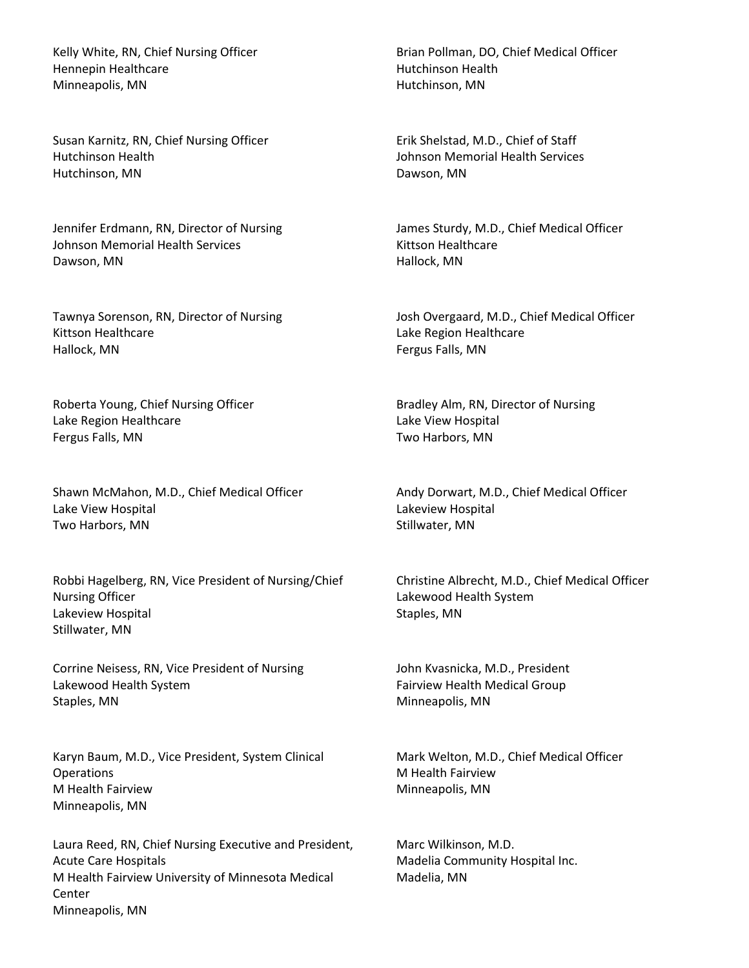Kelly White, RN, Chief Nursing Officer Hennepin Healthcare Minneapolis, MN

Susan Karnitz, RN, Chief Nursing Officer Hutchinson Health Hutchinson, MN

Jennifer Erdmann, RN, Director of Nursing Johnson Memorial Health Services Dawson, MN

Tawnya Sorenson, RN, Director of Nursing Kittson Healthcare Hallock, MN

Roberta Young, Chief Nursing Officer Lake Region Healthcare Fergus Falls, MN

Shawn McMahon, M.D., Chief Medical Officer Lake View Hospital Two Harbors, MN

Robbi Hagelberg, RN, Vice President of Nursing/Chief Nursing Officer Lakeview Hospital Stillwater, MN

Corrine Neisess, RN, Vice President of Nursing Lakewood Health System Staples, MN

Karyn Baum, M.D., Vice President, System Clinical **Operations** M Health Fairview Minneapolis, MN

Laura Reed, RN, Chief Nursing Executive and President, Acute Care Hospitals M Health Fairview University of Minnesota Medical Center Minneapolis, MN

Brian Pollman, DO, Chief Medical Officer Hutchinson Health Hutchinson, MN

Erik Shelstad, M.D., Chief of Staff Johnson Memorial Health Services Dawson, MN

James Sturdy, M.D., Chief Medical Officer Kittson Healthcare Hallock, MN

Josh Overgaard, M.D., Chief Medical Officer Lake Region Healthcare Fergus Falls, MN

Bradley Alm, RN, Director of Nursing Lake View Hospital Two Harbors, MN

Andy Dorwart, M.D., Chief Medical Officer Lakeview Hospital Stillwater, MN

Christine Albrecht, M.D., Chief Medical Officer Lakewood Health System Staples, MN

John Kvasnicka, M.D., President Fairview Health Medical Group Minneapolis, MN

Mark Welton, M.D., Chief Medical Officer M Health Fairview Minneapolis, MN

Marc Wilkinson, M.D. Madelia Community Hospital Inc. Madelia, MN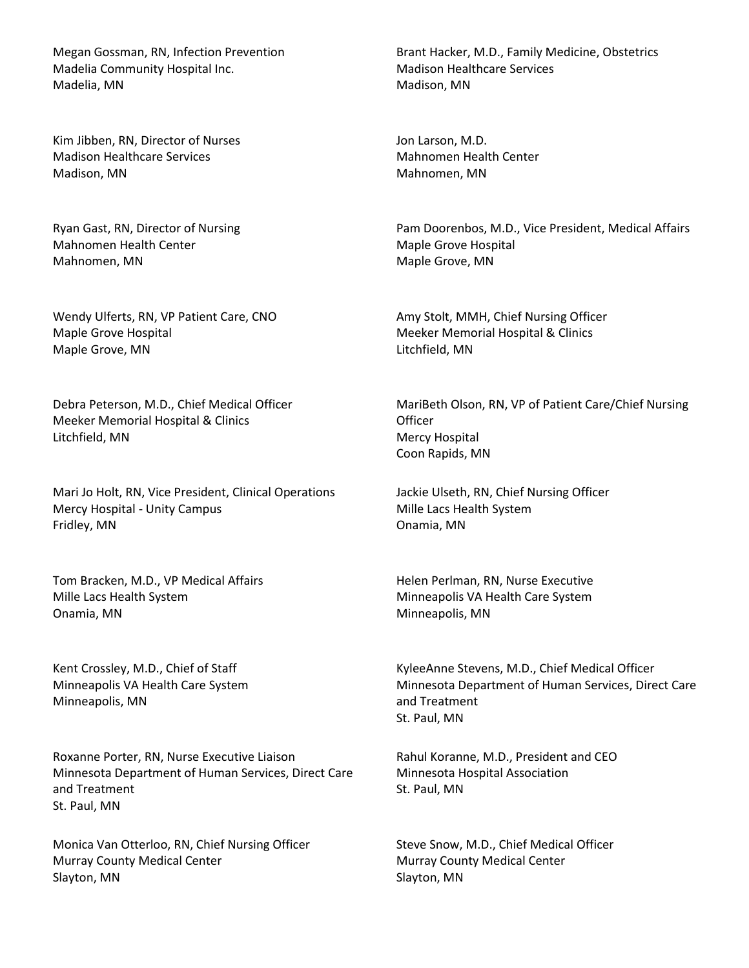Megan Gossman, RN, Infection Prevention Madelia Community Hospital Inc. Madelia, MN

Kim Jibben, RN, Director of Nurses Madison Healthcare Services Madison, MN

Ryan Gast, RN, Director of Nursing Mahnomen Health Center Mahnomen, MN

Wendy Ulferts, RN, VP Patient Care, CNO Maple Grove Hospital Maple Grove, MN

Debra Peterson, M.D., Chief Medical Officer Meeker Memorial Hospital & Clinics Litchfield, MN

Mari Jo Holt, RN, Vice President, Clinical Operations Mercy Hospital - Unity Campus Fridley, MN

Tom Bracken, M.D., VP Medical Affairs Mille Lacs Health System Onamia, MN

Kent Crossley, M.D., Chief of Staff Minneapolis VA Health Care System Minneapolis, MN

Roxanne Porter, RN, Nurse Executive Liaison Minnesota Department of Human Services, Direct Care and Treatment St. Paul, MN

Monica Van Otterloo, RN, Chief Nursing Officer Murray County Medical Center Slayton, MN

Brant Hacker, M.D., Family Medicine, Obstetrics Madison Healthcare Services Madison, MN

Jon Larson, M.D. Mahnomen Health Center Mahnomen, MN

Pam Doorenbos, M.D., Vice President, Medical Affairs Maple Grove Hospital Maple Grove, MN

Amy Stolt, MMH, Chief Nursing Officer Meeker Memorial Hospital & Clinics Litchfield, MN

MariBeth Olson, RN, VP of Patient Care/Chief Nursing **Officer** Mercy Hospital Coon Rapids, MN

Jackie Ulseth, RN, Chief Nursing Officer Mille Lacs Health System Onamia, MN

Helen Perlman, RN, Nurse Executive Minneapolis VA Health Care System Minneapolis, MN

KyleeAnne Stevens, M.D., Chief Medical Officer Minnesota Department of Human Services, Direct Care and Treatment St. Paul, MN

Rahul Koranne, M.D., President and CEO Minnesota Hospital Association St. Paul, MN

Steve Snow, M.D., Chief Medical Officer Murray County Medical Center Slayton, MN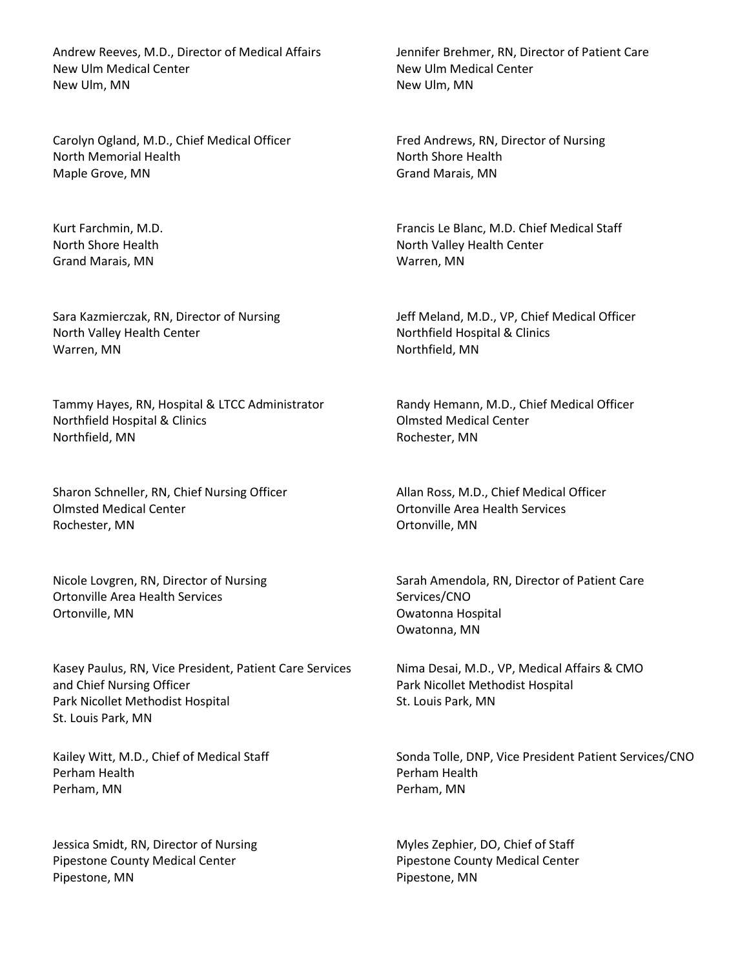Andrew Reeves, M.D., Director of Medical Affairs New Ulm Medical Center New Ulm, MN

Carolyn Ogland, M.D., Chief Medical Officer North Memorial Health Maple Grove, MN

Kurt Farchmin, M.D. North Shore Health Grand Marais, MN

Sara Kazmierczak, RN, Director of Nursing North Valley Health Center Warren, MN

Tammy Hayes, RN, Hospital & LTCC Administrator Northfield Hospital & Clinics Northfield, MN

Sharon Schneller, RN, Chief Nursing Officer Olmsted Medical Center Rochester, MN

Nicole Lovgren, RN, Director of Nursing Ortonville Area Health Services Ortonville, MN

Kasey Paulus, RN, Vice President, Patient Care Services and Chief Nursing Officer Park Nicollet Methodist Hospital St. Louis Park, MN

Kailey Witt, M.D., Chief of Medical Staff Perham Health Perham, MN

Jessica Smidt, RN, Director of Nursing Pipestone County Medical Center Pipestone, MN

Jennifer Brehmer, RN, Director of Patient Care New Ulm Medical Center New Ulm, MN

Fred Andrews, RN, Director of Nursing North Shore Health Grand Marais, MN

Francis Le Blanc, M.D. Chief Medical Staff North Valley Health Center Warren, MN

Jeff Meland, M.D., VP, Chief Medical Officer Northfield Hospital & Clinics Northfield, MN

Randy Hemann, M.D., Chief Medical Officer Olmsted Medical Center Rochester, MN

Allan Ross, M.D., Chief Medical Officer Ortonville Area Health Services Ortonville, MN

Sarah Amendola, RN, Director of Patient Care Services/CNO Owatonna Hospital Owatonna, MN

Nima Desai, M.D., VP, Medical Affairs & CMO Park Nicollet Methodist Hospital St. Louis Park, MN

Sonda Tolle, DNP, Vice President Patient Services/CNO Perham Health Perham, MN

Myles Zephier, DO, Chief of Staff Pipestone County Medical Center Pipestone, MN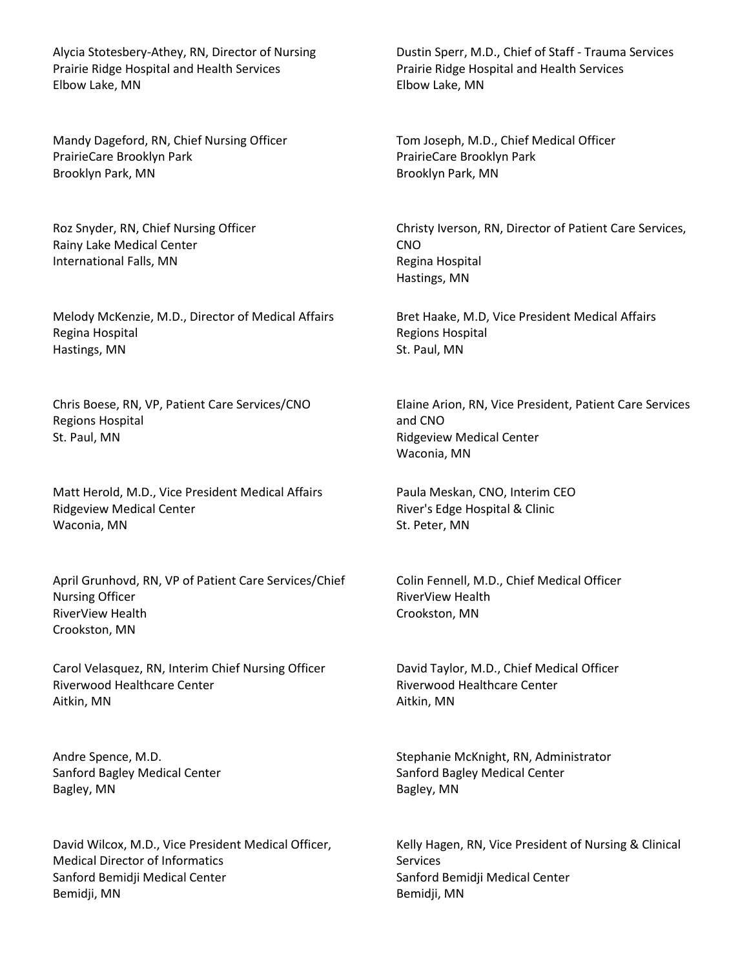Alycia Stotesbery-Athey, RN, Director of Nursing Prairie Ridge Hospital and Health Services Elbow Lake, MN

Mandy Dageford, RN, Chief Nursing Officer PrairieCare Brooklyn Park Brooklyn Park, MN

Roz Snyder, RN, Chief Nursing Officer Rainy Lake Medical Center International Falls, MN

Melody McKenzie, M.D., Director of Medical Affairs Regina Hospital Hastings, MN

Chris Boese, RN, VP, Patient Care Services/CNO Regions Hospital St. Paul, MN

Matt Herold, M.D., Vice President Medical Affairs Ridgeview Medical Center Waconia, MN

April Grunhovd, RN, VP of Patient Care Services/Chief Nursing Officer RiverView Health Crookston, MN

Carol Velasquez, RN, Interim Chief Nursing Officer Riverwood Healthcare Center Aitkin, MN

Andre Spence, M.D. Sanford Bagley Medical Center Bagley, MN

David Wilcox, M.D., Vice President Medical Officer, Medical Director of Informatics Sanford Bemidji Medical Center Bemidji, MN

Dustin Sperr, M.D., Chief of Staff - Trauma Services Prairie Ridge Hospital and Health Services Elbow Lake, MN

Tom Joseph, M.D., Chief Medical Officer PrairieCare Brooklyn Park Brooklyn Park, MN

Christy Iverson, RN, Director of Patient Care Services, CNO Regina Hospital Hastings, MN

Bret Haake, M.D, Vice President Medical Affairs Regions Hospital St. Paul, MN

Elaine Arion, RN, Vice President, Patient Care Services and CNO Ridgeview Medical Center Waconia, MN

Paula Meskan, CNO, Interim CEO River's Edge Hospital & Clinic St. Peter, MN

Colin Fennell, M.D., Chief Medical Officer RiverView Health Crookston, MN

David Taylor, M.D., Chief Medical Officer Riverwood Healthcare Center Aitkin, MN

Stephanie McKnight, RN, Administrator Sanford Bagley Medical Center Bagley, MN

Kelly Hagen, RN, Vice President of Nursing & Clinical Services Sanford Bemidji Medical Center Bemidji, MN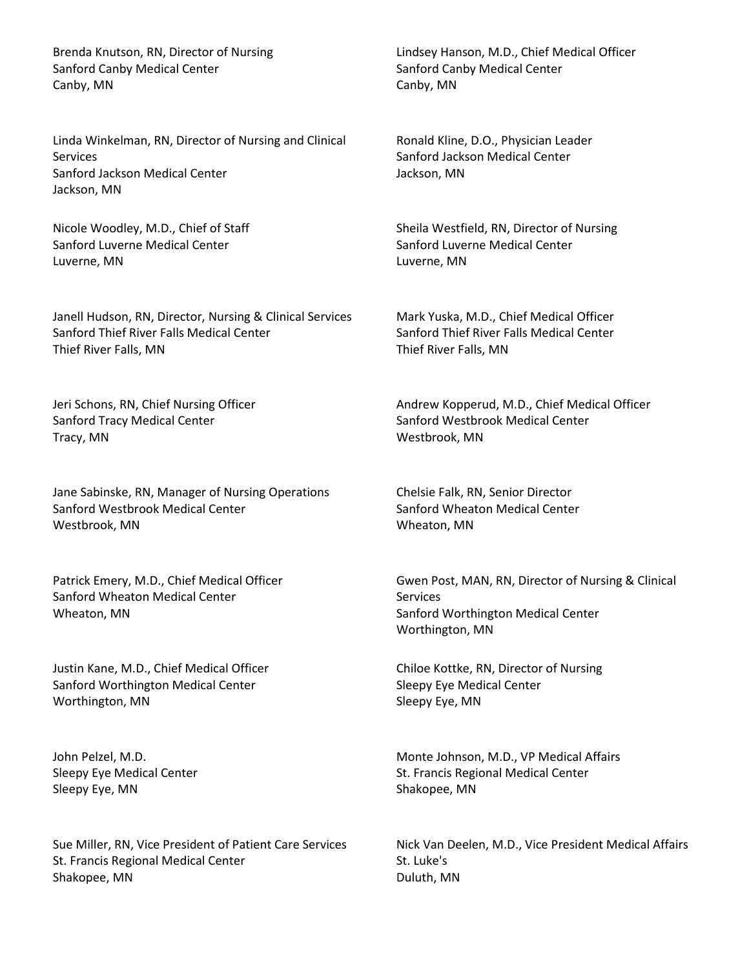Brenda Knutson, RN, Director of Nursing Sanford Canby Medical Center Canby, MN

Linda Winkelman, RN, Director of Nursing and Clinical **Services** Sanford Jackson Medical Center Jackson, MN

Nicole Woodley, M.D., Chief of Staff Sanford Luverne Medical Center Luverne, MN

Janell Hudson, RN, Director, Nursing & Clinical Services Sanford Thief River Falls Medical Center Thief River Falls, MN

Jeri Schons, RN, Chief Nursing Officer Sanford Tracy Medical Center Tracy, MN

Jane Sabinske, RN, Manager of Nursing Operations Sanford Westbrook Medical Center Westbrook, MN

Patrick Emery, M.D., Chief Medical Officer Sanford Wheaton Medical Center Wheaton, MN

Justin Kane, M.D., Chief Medical Officer Sanford Worthington Medical Center Worthington, MN

John Pelzel, M.D. Sleepy Eye Medical Center Sleepy Eye, MN

Sue Miller, RN, Vice President of Patient Care Services St. Francis Regional Medical Center Shakopee, MN

Lindsey Hanson, M.D., Chief Medical Officer Sanford Canby Medical Center Canby, MN

Ronald Kline, D.O., Physician Leader Sanford Jackson Medical Center Jackson, MN

Sheila Westfield, RN, Director of Nursing Sanford Luverne Medical Center Luverne, MN

Mark Yuska, M.D., Chief Medical Officer Sanford Thief River Falls Medical Center Thief River Falls, MN

Andrew Kopperud, M.D., Chief Medical Officer Sanford Westbrook Medical Center Westbrook, MN

Chelsie Falk, RN, Senior Director Sanford Wheaton Medical Center Wheaton, MN

Gwen Post, MAN, RN, Director of Nursing & Clinical **Services** Sanford Worthington Medical Center Worthington, MN

Chiloe Kottke, RN, Director of Nursing Sleepy Eye Medical Center Sleepy Eye, MN

Monte Johnson, M.D., VP Medical Affairs St. Francis Regional Medical Center Shakopee, MN

Nick Van Deelen, M.D., Vice President Medical Affairs St. Luke's Duluth, MN